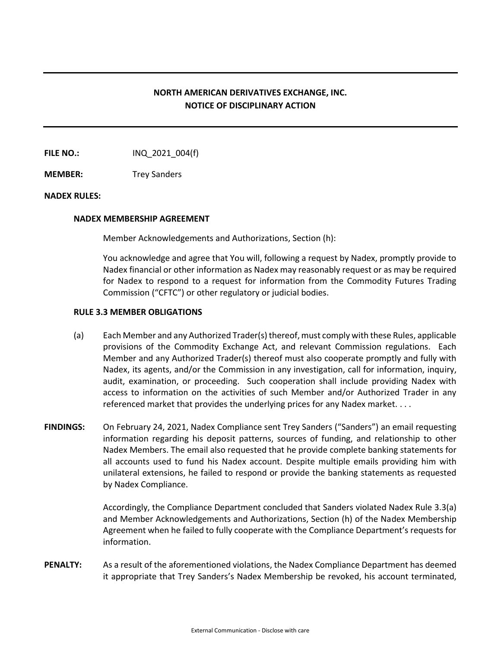# **NORTH AMERICAN DERIVATIVES EXCHANGE, INC. NOTICE OF DISCIPLINARY ACTION**

**FILE NO.:** INQ 2021 004(f)

**MEMBER:** Trey Sanders

#### **NADEX RULES:**

#### **NADEX MEMBERSHIP AGREEMENT**

Member Acknowledgements and Authorizations, Section (h):

You acknowledge and agree that You will, following a request by Nadex, promptly provide to Nadex financial or other information as Nadex may reasonably request or as may be required for Nadex to respond to a request for information from the Commodity Futures Trading Commission ("CFTC") or other regulatory or judicial bodies.

### **RULE 3.3 MEMBER OBLIGATIONS**

- (a) Each Member and any Authorized Trader(s) thereof, must comply with these Rules, applicable provisions of the Commodity Exchange Act, and relevant Commission regulations. Each Member and any Authorized Trader(s) thereof must also cooperate promptly and fully with Nadex, its agents, and/or the Commission in any investigation, call for information, inquiry, audit, examination, or proceeding. Such cooperation shall include providing Nadex with access to information on the activities of such Member and/or Authorized Trader in any referenced market that provides the underlying prices for any Nadex market. . . .
- **FINDINGS:** On February 24, 2021, Nadex Compliance sent Trey Sanders ("Sanders") an email requesting information regarding his deposit patterns, sources of funding, and relationship to other Nadex Members. The email also requested that he provide complete banking statements for all accounts used to fund his Nadex account. Despite multiple emails providing him with unilateral extensions, he failed to respond or provide the banking statements as requested by Nadex Compliance.

Accordingly, the Compliance Department concluded that Sanders violated Nadex Rule 3.3(a) and Member Acknowledgements and Authorizations, Section (h) of the Nadex Membership Agreement when he failed to fully cooperate with the Compliance Department's requests for information.

**PENALTY:** As a result of the aforementioned violations, the Nadex Compliance Department has deemed it appropriate that Trey Sanders's Nadex Membership be revoked, his account terminated,